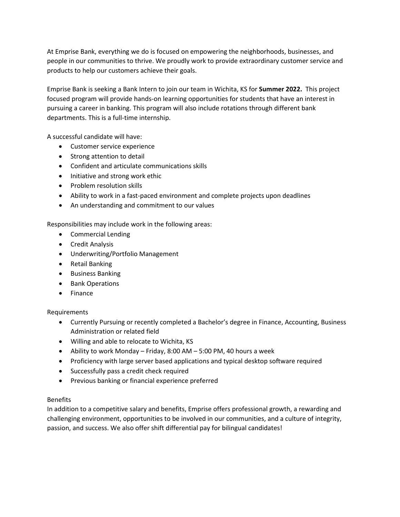At Emprise Bank, everything we do is focused on empowering the neighborhoods, businesses, and people in our communities to thrive. We proudly work to provide extraordinary customer service and products to help our customers achieve their goals.

Emprise Bank is seeking a Bank Intern to join our team in Wichita, KS for **Summer 2022.** This project focused program will provide hands-on learning opportunities for students that have an interest in pursuing a career in banking. This program will also include rotations through different bank departments. This is a full-time internship.

A successful candidate will have:

- Customer service experience
- Strong attention to detail
- Confident and articulate communications skills
- Initiative and strong work ethic
- Problem resolution skills
- Ability to work in a fast-paced environment and complete projects upon deadlines
- An understanding and commitment to our values

Responsibilities may include work in the following areas:

- Commercial Lending
- Credit Analysis
- Underwriting/Portfolio Management
- Retail Banking
- Business Banking
- Bank Operations
- Finance

## Requirements

- Currently Pursuing or recently completed a Bachelor's degree in Finance, Accounting, Business Administration or related field
- Willing and able to relocate to Wichita, KS
- Ability to work Monday Friday, 8:00 AM 5:00 PM, 40 hours a week
- Proficiency with large server based applications and typical desktop software required
- Successfully pass a credit check required
- Previous banking or financial experience preferred

## Benefits

In addition to a competitive salary and benefits, Emprise offers professional growth, a rewarding and challenging environment, opportunities to be involved in our communities, and a culture of integrity, passion, and success. We also offer shift differential pay for bilingual candidates!